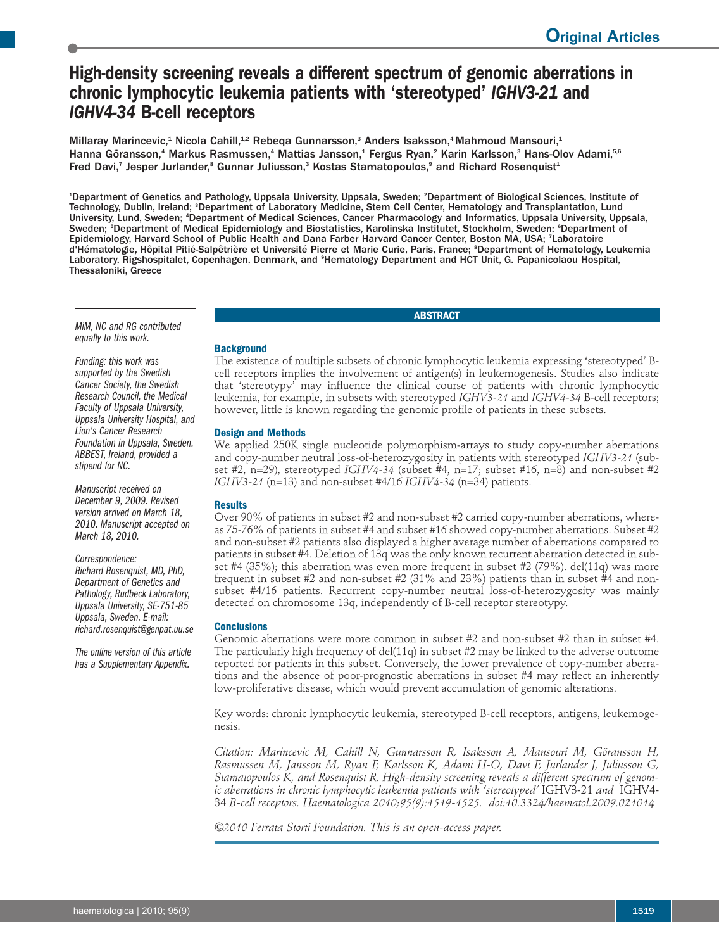# **High-density screening reveals a different spectrum of genomic aberrations in chronic lymphocytic leukemia patients with 'stereotyped'** *IGHV3-21* **and** *IGHV4-34* **B-cell receptors**

Millaray Marincevic,<sup>1</sup> Nicola Cahill,<sup>1.2</sup> Rebeqa Gunnarsson,<sup>3</sup> Anders Isaksson,<sup>4</sup> Mahmoud Mansouri,<sup>1</sup> Hanna Göransson,<sup>4</sup> Markus Rasmussen,<sup>4</sup> Mattias Jansson,<sup>1</sup> Fergus Ryan,<sup>2</sup> Karin Karlsson,<sup>3</sup> Hans-Olov Adami,<sup>5,6</sup> Fred Davi,<sup>7</sup> Jesper Jurlander,<sup>s</sup> Gunnar Juliusson,<sup>3</sup> Kostas Stamatopoulos,<sup>9</sup> and Richard Rosenquist<sup>1</sup>

1 Department of Genetics and Pathology, Uppsala University, Uppsala, Sweden; <sup>2</sup> Department of Biological Sciences, Institute of Technology, Dublin, Ireland; <sup>s</sup>Department of Laboratory Medicine, Stem Cell Center, Hematology and Transplantation, Lund University, Lund, Sweden; <sup>4</sup>Department of Medical Sciences, Cancer Pharmacology and Informatics, Uppsala University, Uppsala, Sweden; <sup>s</sup>Department of Medical Epidemiology and Biostatistics, Karolinska Institutet, Stockholm, Sweden; °Department of Epidemiology, Harvard School of Public Health and Dana Farber Harvard Cancer Center, Boston MA, USA; <sup>7</sup>Laboratoire d'Hématologie, Hôpital Pitié-Salpêtrière et Université Pierre et Marie Curie, Paris, France; <sup>s</sup>Department of Hematology, Leukemia Laboratory, Rigshospitalet, Copenhagen, Denmark, and <sup>9</sup>Hematology Department and HCT Unit, G. Papanicolaou Hospital, Thessaloniki, Greece

**ABSTRACT**

*MiM, NC and RG contributed equally to this work.*

*Funding: this work was supported by the Swedish Cancer Society, the Swedish Research Council, the Medical Faculty of Uppsala University, Uppsala University Hospital, and Lion's Cancer Research Foundation in Uppsala, Sweden. ABBEST, Ireland,provided a stipend for NC.*

*Manuscript received on December 9, 2009. Revised version arrived on March 18, 2010. Manuscript accepted on March 18, 2010.*

*Correspondence: Richard Rosenquist, MD, PhD, Department of Genetics and Pathology, Rudbeck Laboratory, Uppsala University, SE-751-85 Uppsala, Sweden.E-mail: richard.rosenquist@genpat.uu.se*

*The online version of this article has a Supplementary Appendix.*

# **Background**

The existence of multiple subsets of chronic lymphocytic leukemia expressing 'stereotyped' Bcell receptors implies the involvement of antigen(s) in leukemogenesis. Studies also indicate that 'stereotypy' may influence the clinical course of patients with chronic lymphocytic leukemia, for example, in subsets with stereotyped *IGHV3-21* and *IGHV4-34* B-cell receptors; however, little is known regarding the genomic profile of patients in these subsets.

# **Design and Methods**

We applied 250K single nucleotide polymorphism-arrays to study copy-number aberrations and copy-number neutral loss-of-heterozygosity in patients with stereotyped *IGHV3-21* (subset #2, n=29), stereotyped *IGHV4-34* (subset #4, n=17; subset #16, n=8) and non-subset #2 *IGHV3-21* (n=13) and non-subset #4/16 *IGHV4-34* (n=34) patients.

# **Results**

Over 90% of patients in subset #2 and non-subset #2 carried copy-number aberrations, whereas 75-76% of patients in subset #4 and subset #16 showed copy-number aberrations. Subset #2 and non-subset #2 patients also displayed a higher average number of aberrations compared to patients in subset #4. Deletion of 13q was the only known recurrent aberration detected in subset #4 (35%); this aberration was even more frequent in subset #2 (79%). del(11q) was more frequent in subset  $#2$  and non-subset  $#2$  (31% and 23%) patients than in subset  $#4$  and nonsubset #4/16 patients. Recurrent copy-number neutral loss-of-heterozygosity was mainly detected on chromosome 13q, independently of B-cell receptor stereotypy.

# **Conclusions**

Genomic aberrations were more common in subset #2 and non-subset #2 than in subset #4. The particularly high frequency of del(11q) in subset #2 may be linked to the adverse outcome reported for patients in this subset. Conversely, the lower prevalence of copy-number aberrations and the absence of poor-prognostic aberrations in subset #4 may reflect an inherently low-proliferative disease, which would prevent accumulation of genomic alterations.

Key words: chronic lymphocytic leukemia, stereotyped B-cell receptors, antigens, leukemogenesis.

*Citation: Marincevic M, Cahill N, Gunnarsson R, Isaksson A, Mansouri M, Göransson H, Rasmussen M, Jansson M, Ryan F, Karlsson K, Adami H-O, Davi F, Jurlander J, Juliusson G, Stamatopoulos K, and Rosenquist R. High-density screening reveals a different spectrum of genomic aberrations in chronic lymphocytic leukemia patients with 'stereotyped'* IGHV3-21 *and* IGHV4- 34 *B-cell receptors. Haematologica 2010;95(9):1519-1525. doi:10.3324/haematol.2009.021014*

*©2010 Ferrata Storti Foundation. This is an open-access paper.*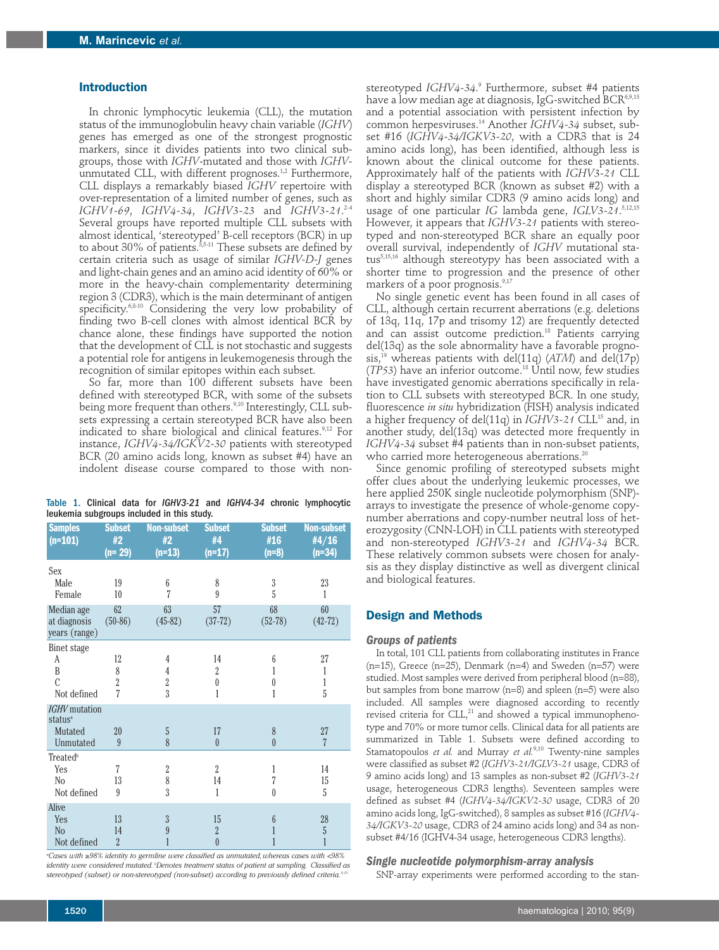#### **Introduction**

In chronic lymphocytic leukemia (CLL), the mutation status of the immunoglobulin heavy chain variable (*IGHV*) genes has emerged as one of the strongest prognostic markers, since it divides patients into two clinical subgroups, those with *IGHV*-mutated and those with *IGHV*unmutated CLL, with different prognoses. 1,2 Furthermore, CLL displays a remarkably biased *IGHV* repertoire with over-representation of a limited number of genes, such as *IGHV1-69*, *IGHV4-34*, *IGHV3-23* and *IGHV3-21*. 2-4 Several groups have reported multiple CLL subsets with almost identical, 'stereotyped' B-cell receptors (BCR) in up to about 30% of patients. $^{\scriptscriptstyle 3,5\text{-}11}$  These subsets are defined by certain criteria such as usage of similar *IGHV-D-J* genes and light-chain genes and an amino acid identity of  $60\%$  or more in the heavy-chain complementarity determining region 3 (CDR3), which is the main determinant of antigen specificity. 6,8-10 Considering the very low probability of finding two B-cell clones with almost identical BCR by chance alone, these findings have supported the notion that the development of CLL is not stochastic and suggests a potential role for antigens in leukemogenesis through the recognition of similar epitopes within each subset.

So far, more than 100 different subsets have been defined with stereotyped BCR, with some of the subsets being more frequent than others.<sup>9,10</sup> Interestingly, CLL subsets expressing a certain stereotyped BCR have also been indicated to share biological and clinical features. 9,12 For instance, *IGHV4-34/IGKV2-30* patients with stereotyped BCR (20 amino acids long, known as subset #4) have an indolent disease course compared to those with non-

|                                            |  |  |  |  |  |  |  |  | Table 1. Clinical data for IGHV3-21 and IGHV4-34 chronic lymphocytic |
|--------------------------------------------|--|--|--|--|--|--|--|--|----------------------------------------------------------------------|
| leukemia subgroups included in this study. |  |  |  |  |  |  |  |  |                                                                      |

| <b>Samples</b><br>$(n=101)$                                         | <b>Subset</b><br>#2<br>$(n=29)$ | <b>Non-subset</b><br>#2<br>$(n=13)$        | <b>Subset</b><br>#4<br>$(n=17)$        | <b>Subset</b><br>#16<br>$(n=8)$ | <b>Non-subset</b><br>#4/16<br>$(n=34)$ |
|---------------------------------------------------------------------|---------------------------------|--------------------------------------------|----------------------------------------|---------------------------------|----------------------------------------|
| Sex                                                                 |                                 |                                            |                                        |                                 |                                        |
| Male<br>Female                                                      | 19<br>10                        | 6<br>$\overline{7}$                        | 8<br>9                                 | $\boldsymbol{3}$<br>5           | 23<br>1                                |
| Median age<br>at diagnosis<br>years (range)                         | 62<br>$(50-86)$                 | 63<br>$(45-82)$                            | 57<br>$(37-72)$                        | 68<br>$(52-78)$                 | 60<br>$(42-72)$                        |
| Binet stage<br>A<br>B<br>$\mathcal{C}$<br>Not defined               | 12<br>8<br>$\overline{2}$<br>7  | 4<br>$\overline{4}$<br>$\overline{2}$<br>3 | 14<br>$\overline{2}$<br>$\theta$<br>1  | 6<br>1<br>$\theta$<br>1         | 27<br>1<br>1<br>5                      |
| <b>IGHV</b> mutation<br>status <sup>a</sup><br>Mutated<br>Unmutated | 20<br>9                         | 5<br>8                                     | 17<br>$\theta$                         | 8<br>$\theta$                   | 27<br>$\overline{7}$                   |
| <b>Treated</b> <sup>b</sup><br>Yes<br>N <sub>0</sub><br>Not defined | 7<br>13<br>9                    | $\overline{2}$<br>8<br>3                   | $\overline{2}$<br>14<br>1              | 1<br>7<br>$\theta$              | 14<br>15<br>5                          |
| Alive                                                               |                                 |                                            |                                        |                                 |                                        |
| Yes<br>N <sub>o</sub><br>Not defined                                | 13<br>14<br>$\overline{2}$      | 3<br>9<br>1                                | 15<br>$\overline{2}$<br>$\overline{0}$ | 6<br>1<br>1                     | 28<br>5<br>1                           |

*a Cases with* ≥*98% identity to germline were classified as unmutated,whereas cases with <98% identity were considered mutated. <sup>b</sup> Denotes treatment status of patient at sampling. Classified as stereotyped (subset) or non-stereotyped (non-subset) according to previously defined criteria. 9,10*

stereotyped *IGHV4-34*. <sup>9</sup> Furthermore, subset #4 patients have a low median age at diagnosis, IgG-switched BCR<sup>6,9,13</sup> and a potential association with persistent infection by common herpesviruses. <sup>14</sup> Another *IGHV4-34* subset, subset #16 (*IGHV4-34/IGKV3-20*, with a CDR3 that is 24 amino acids long), has been identified, although less is known about the clinical outcome for these patients. Approximately half of the patients with *IGHV3-21* CLL display a stereotyped BCR (known as subset #2) with a short and highly similar CDR3 (9 amino acids long) and usage of one particular *IG* lambda gene, *IGLV3-21*. 5,12,15 However, it appears that *IGHV3-21* patients with stereotyped and non-stereotyped BCR share an equally poor overall survival, independently of *IGHV* mutational status5,15,16 although stereotypy has been associated with a shorter time to progression and the presence of other markers of a poor prognosis. 9,17

No single genetic event has been found in all cases of CLL, although certain recurrent aberrations (e.g. deletions of 13q, 11q, 17p and trisomy 12) are frequently detected and can assist outcome prediction. <sup>18</sup> Patients carrying del(13q) as the sole abnormality have a favorable prognosis, <sup>19</sup> whereas patients with del(11q) (*ATM*) and del(17p) (*TP53*) have an inferior outcome. <sup>18</sup> Until now, few studies have investigated genomic aberrations specifically in relation to CLL subsets with stereotyped BCR. In one study, fluorescence *in situ* hybridization (FISH) analysis indicated a higher frequency of del(11q) in *IGHV3-21* CLL15 and, in another study, del(13q) was detected more frequently in *IGHV4-34* subset #4 patients than in non-subset patients, who carried more heterogeneous aberrations. $^{20}$ 

Since genomic profiling of stereotyped subsets might offer clues about the underlying leukemic processes, we here applied 250K single nucleotide polymorphism (SNP) arrays to investigate the presence of whole-genome copynumber aberrations and copy-number neutral loss of heterozygosity (CNN-LOH) in CLL patients with stereotyped and non-stereotyped *IGHV3-21* and *IGHV4-34* BCR. These relatively common subsets were chosen for analysis as they display distinctive as well as divergent clinical and biological features.

# **Design and Methods**

#### *Groups of patients*

In total, 101 CLL patients from collaborating institutes in France (n=15), Greece (n=25), Denmark (n=4) and Sweden (n=57) were studied. Most samples were derived from peripheral blood (n=88), but samples from bone marrow (n=8) and spleen (n=5) were also included. All samples were diagnosed according to recently revised criteria for  $CLL<sub>1</sub><sup>21</sup>$  and showed a typical immunophenotype and 70% or more tumor cells. Clinical data for all patients are summarized in Table 1. Subsets were defined according to Stamatopoulos *et al.* and Murray *et al.* 9,10 Twenty-nine samples were classified as subset #2 (*IGHV3-21/IGLV3-21* usage, CDR3 of 9 amino acids long) and 13 samples as non-subset #2 (*IGHV3-21* usage, heterogeneous CDR3 lengths). Seventeen samples were defined as subset #4 (*IGHV4-34/IGKV2-30* usage, CDR3 of 20 amino acids long, IgG-switched), 8 samples as subset #16 (*IGHV4- 34/IGKV3-20* usage, CDR3 of 24 amino acids long) and 34 as nonsubset #4/16 (IGHV4-34 usage, heterogeneous CDR3 lengths).

#### *Single nucleotide polymorphism-array analysis*

SNP-array experiments were performed according to the stan-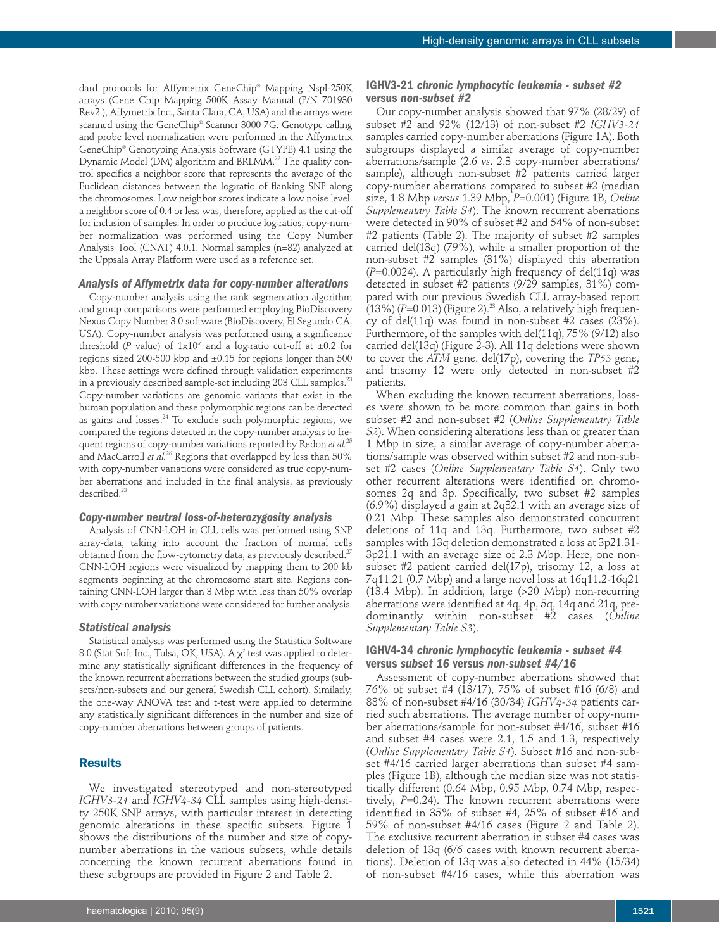dard protocols for Affymetrix GeneChip® Mapping NspI-250K arrays (Gene Chip Mapping 500K Assay Manual (P/N 701930 Rev2.), Affymetrix Inc., Santa Clara, CA, USA) and the arrays were scanned using the GeneChip® Scanner 3000 7G. Genotype calling and probe level normalization were performed in the Affymetrix GeneChip® Genotyping Analysis Software (GTYPE) 4.1 using the Dynamic Model (DM) algorithm and BRLMM. <sup>22</sup> The quality control specifies a neighbor score that represents the average of the Euclidean distances between the log2ratio of flanking SNP along the chromosomes. Low neighbor scores indicate a low noise level: a neighbor score of 0.4 or less was, therefore, applied as the cut-off for inclusion of samples. In order to produce log2ratios, copy-number normalization was performed using the Copy Number Analysis Tool (CNAT) 4.0.1. Normal samples (n=82) analyzed at the Uppsala Array Platform were used as a reference set.

## *Analysis of Affymetrix data for copy-number alterations*

Copy-number analysis using the rank segmentation algorithm and group comparisons were performed employing BioDiscovery Nexus Copy Number 3.0 software (BioDiscovery, El Segundo CA, USA). Copy-number analysis was performed using a significance threshold (*P* value) of  $1x10^{-6}$  and a log<sub>2</sub>ratio cut-off at  $\pm 0.2$  for regions sized 200-500 kbp and ±0.15 for regions longer than 500 kbp. These settings were defined through validation experiments in a previously described sample-set including 203 CLL samples. $^{23}$ Copy-number variations are genomic variants that exist in the human population and these polymorphic regions can be detected as gains and losses. <sup>24</sup> To exclude such polymorphic regions, we compared the regions detected in the copy-number analysis to frequent regions of copy-number variations reported by Redon *et al.* 25 and MacCarroll *et al.<sup>26</sup>* Regions that overlapped by less than 50% with copy-number variations were considered as true copy-number aberrations and included in the final analysis, as previously described. 23

#### *Copy-number neutral loss-of-heterozygosity analysis*

Analysis of CNN-LOH in CLL cells was performed using SNP array-data, taking into account the fraction of normal cells obtained from the flow-cytometry data, as previously described.<sup>27</sup> CNN-LOH regions were visualized by mapping them to 200 kb segments beginning at the chromosome start site. Regions containing CNN-LOH larger than 3 Mbp with less than 50% overlap with copy-number variations were considered for further analysis.

#### *Statistical analysis*

Statistical analysis was performed using the Statistica Software 8.0 (Stat Soft Inc., Tulsa, OK, USA). A  $\chi^2$  test was applied to determine any statistically significant differences in the frequency of the known recurrent aberrations between the studied groups (subsets/non-subsets and our general Swedish CLL cohort). Similarly, the one-way ANOVA test and t-test were applied to determine any statistically significant differences in the number and size of copy-number aberrations between groups of patients.

#### **Results**

We investigated stereotyped and non-stereotyped *IGHV3-21* and *IGHV4-34* CLL samples using high-density 250K SNP arrays, with particular interest in detecting genomic alterations in these specific subsets. Figure 1 shows the distributions of the number and size of copynumber aberrations in the various subsets, while details concerning the known recurrent aberrations found in these subgroups are provided in Figure 2 and Table 2.

# **IGHV3-21** *chronic lymphocytic leukemia - subset #2* **versus** *non-subset #2*

Our copy-number analysis showed that 97% (28/29) of subset #2 and 92% (12/13) of non-subset #2 *IGHV3-21* samples carried copy-number aberrations (Figure 1A). Both subgroups displayed a similar average of copy-number aberrations/sample (2.6 *vs*. 2.3 copy-number aberrations/ sample), although non-subset #2 patients carried larger copy-number aberrations compared to subset #2 (median size, 1.8 Mbp *versus* 1.39 Mbp, *P*=0.001) (Figure 1B, *Online Supplementary Table S1*). The known recurrent aberrations were detected in 90% of subset #2 and 54% of non-subset #2 patients (Table 2). The majority of subset #2 samples carried del(13q) (79%), while a smaller proportion of the non-subset #2 samples (31%) displayed this aberration (*P*=0.0024). A particularly high frequency of del(11q) was detected in subset #2 patients (9/29 samples, 31%) compared with our previous Swedish CLL array-based report (13%) (*P*=0.013) (Figure 2). <sup>23</sup> Also, a relatively high frequency of del(11q) was found in non-subset #2 cases (23%). Furthermore, of the samples with del(11q), 75% (9/12) also carried del(13q) (Figure 2-3). All 11q deletions were shown to cover the *ATM* gene. del(17p), covering the *TP53* gene, and trisomy 12 were only detected in non-subset #2 patients.

When excluding the known recurrent aberrations, losses were shown to be more common than gains in both subset #2 and non-subset #2 (*Online Supplementary Table S2*). When considering alterations less than or greater than 1 Mbp in size, a similar average of copy-number aberrations/sample was observed within subset #2 and non-subset #2 cases (*Online Supplementary Table S1*). Only two other recurrent alterations were identified on chromosomes 2q and 3p. Specifically, two subset #2 samples (6.9%) displayed a gain at 2q32.1 with an average size of 0.21 Mbp. These samples also demonstrated concurrent deletions of 11q and 13q. Furthermore, two subset #2 samples with 13q deletion demonstrated a loss at 3p21.31- 3p21.1 with an average size of 2.3 Mbp. Here, one nonsubset #2 patient carried del(17p), trisomy 12, a loss at 7q11.21 (0.7 Mbp) and a large novel loss at 16q11.2-16q21 (13.4 Mbp). In addition, large (>20 Mbp) non-recurring aberrations were identified at 4q, 4p, 5q, 14q and 21q, predominantly within non-subset #2 cases (*Online Supplementary Table S3*).

# **IGHV4-34** *chronic lymphocytic leukemia - subset #4* **versus** *subset 16* **versus** *non-subset #4/16*

Assessment of copy-number aberrations showed that 76% of subset #4 (13/17), 75% of subset #16 (6/8) and 88% of non-subset #4/16 (30/34) *IGHV4-34* patients carried such aberrations. The average number of copy-number aberrations/sample for non-subset #4/16, subset #16 and subset #4 cases were 2.1, 1.5 and 1.3, respectively (*Online Supplementary Table S1*). Subset #16 and non-subset #4/16 carried larger aberrations than subset #4 samples (Figure 1B), although the median size was not statistically different (0.64 Mbp, 0.95 Mbp, 0.74 Mbp, respectively, *P*=0.24). The known recurrent aberrations were identified in 35% of subset #4, 25% of subset #16 and 59% of non-subset #4/16 cases (Figure 2 and Table 2). The exclusive recurrent aberration in subset #4 cases was deletion of 13q (6/6 cases with known recurrent aberrations). Deletion of 13q was also detected in 44% (15/34) of non-subset #4/16 cases, while this aberration was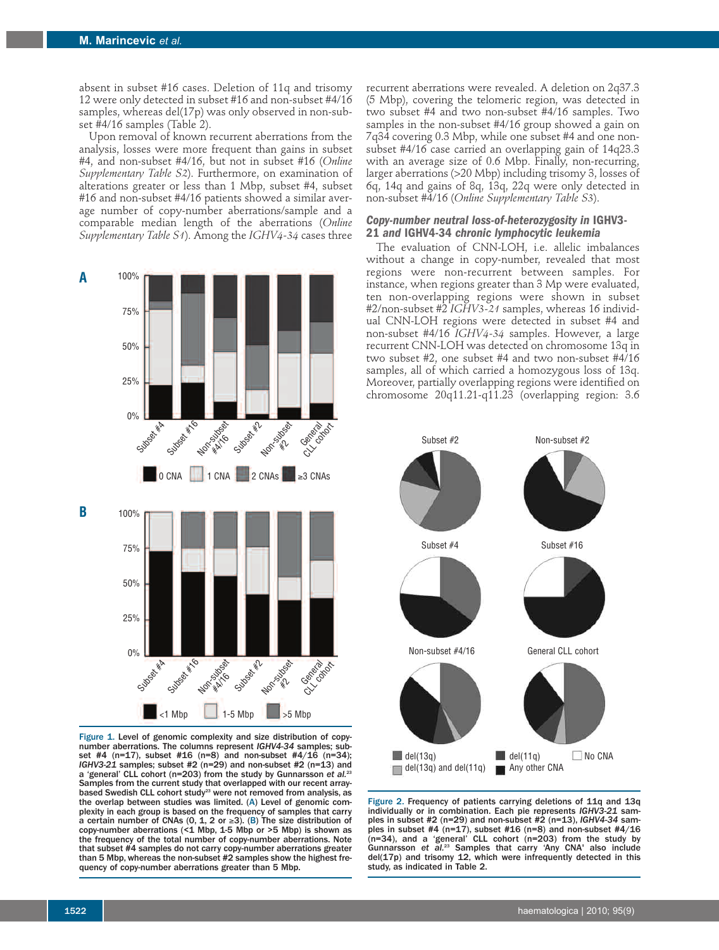absent in subset #16 cases. Deletion of 11q and trisomy 12 were only detected in subset #16 and non-subset #4/16 samples, whereas del(17p) was only observed in non-subset #4/16 samples (Table 2).

Upon removal of known recurrent aberrations from the analysis, losses were more frequent than gains in subset #4, and non-subset #4/16, but not in subset #16 (*Online Supplementary Table S2*). Furthermore, on examination of alterations greater or less than 1 Mbp, subset #4, subset #16 and non-subset #4/16 patients showed a similar average number of copy-number aberrations/sample and a comparable median length of the aberrations (*Online Supplementary Table S1*). Among the *IGHV4-34* cases three



Figure 1. Level of genomic complexity and size distribution of copynumber aberrations. The columns represent *IGHV4-34* samples; subset #4 (n=17), subset #16 (n=8) and non-subset #4/16 (n=34); *IGHV3-21* samples; subset #2 (n=29) and non-subset #2 (n=13) and a 'general' CLL cohort (n=203) from the study by Gunnarsson *et al.* 23 Samples from the current study that overlapped with our recent arraybased Swedish CLL cohort study<sup>23</sup> were not removed from analysis, as the overlap between studies was limited. (A) Level of genomic complexity in each group is based on the frequency of samples that carry a certain number of CNAs  $(0, 1, 2 \text{ or } \geq 3)$ . (B) The size distribution of copy-number aberrations ( $\leq 1$  Mbp, 1-5 Mbp or >5 Mbp) is shown as the frequency of the total number of copy-number aberrations. Note that subset #4 samples do not carry copy-number aberrations greater than <sup>5</sup> Mbp, whereas the non-subset #2 samples show the highest fre- quency of copy-number aberrations greater than <sup>5</sup> Mbp.

recurrent aberrations were revealed. A deletion on 2q37.3 (5 Mbp), covering the telomeric region, was detected in two subset #4 and two non-subset #4/16 samples. Two samples in the non-subset #4/16 group showed a gain on 7q34 covering 0.3 Mbp, while one subset #4 and one nonsubset #4/16 case carried an overlapping gain of 14q23.3 with an average size of 0.6 Mbp. Finally, non-recurring, larger aberrations (>20 Mbp) including trisomy 3, losses of 6q, 14q and gains of 8q, 13q, 22q were only detected in non-subset #4/16 (*Online Supplementary Table S3*).

# *Copy-number neutral loss-of-heterozygosity in* **IGHV3- <sup>21</sup>** *and* **IGHV4-34** *chronic lymphocytic leukemia*

The evaluation of CNN-LOH, i.e. allelic imbalances without a change in copy-number, revealed that most regions were non-recurrent between samples. For instance, when regions greater than 3 Mp were evaluated, ten non-overlapping regions were shown in subset #2/non-subset #2 *IGHV3-21* samples, whereas 16 individual CNN-LOH regions were detected in subset #4 and non-subset #4/16 *IGHV4-34* samples. However, a large recurrent CNN-LOH was detected on chromosome 13q in two subset #2, one subset #4 and two non-subset #4/16 samples, all of which carried a homozygous loss of 13q. Moreover, partially overlapping regions were identified on chromosome 20q11.21-q11.23 (overlapping region: 3.6



Figure 2. Frequency of patients carrying deletions of 11q and 13q individually or in combination. Each pie represents *IGHV3-21* samples in subset #2 (n=29) and non-subset #2 (n=13), *IGHV4-34* samples in subset #4  $(n=17)$ , subset #16 (n=8) and non-subset #4/16 (n=34), and a 'general' CLL cohort (n=203) from the study by Gunnarsson *et al.* <sup>23</sup> Samples that carry 'Any CNA' also include del(17p) and trisomy 12, which were infrequently detected in this study, as indicated in Table 2.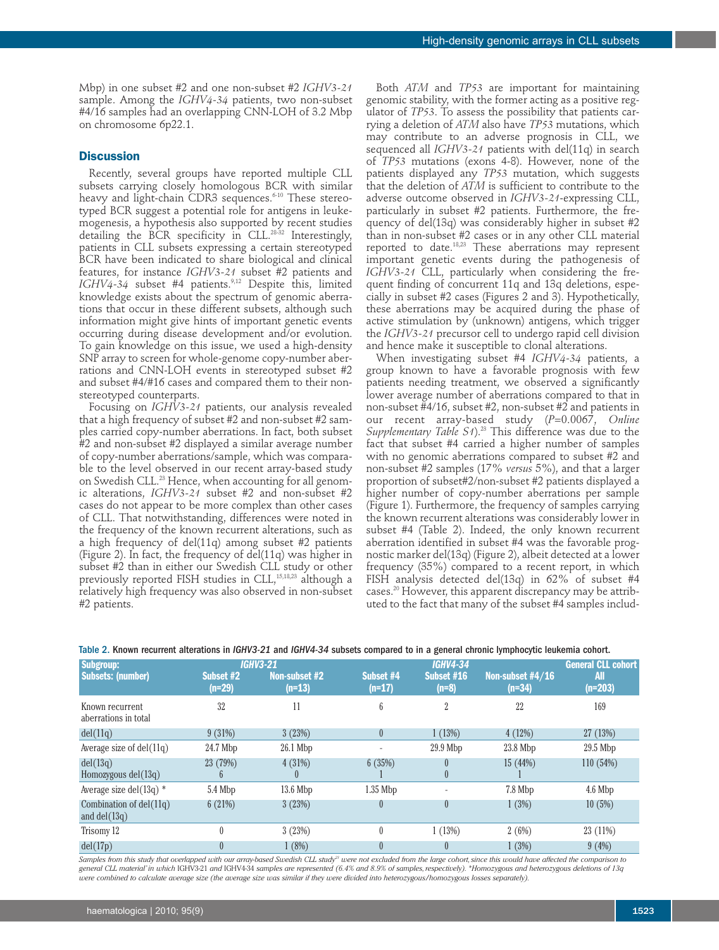Mbp) in one subset #2 and one non-subset #2 *IGHV3-21* sample. Among the *IGHV4-34* patients, two non-subset #4/16 samples had an overlapping CNN-LOH of 3.2 Mbp on chromosome 6p22.1.

## **Discussion**

Recently, several groups have reported multiple CLL subsets carrying closely homologous BCR with similar heavy and light-chain CDR3 sequences. 6-10 These stereotyped BCR suggest a potential role for antigens in leukemogenesis, a hypothesis also supported by recent studies detailing the BCR specificity in CLL. 28-32 Interestingly, patients in CLL subsets expressing a certain stereotyped BCR have been indicated to share biological and clinical features, for instance *IGHV3-21* subset #2 patients and *IGHV4-34* subset #4 patients. 9,12 Despite this, limited knowledge exists about the spectrum of genomic aberrations that occur in these different subsets, although such information might give hints of important genetic events occurring during disease development and/or evolution. To gain knowledge on this issue, we used a high-density SNP array to screen for whole-genome copy-number aberrations and CNN-LOH events in stereotyped subset #2 and subset #4/#16 cases and compared them to their nonstereotyped counterparts.

Focusing on *IGHV3-21* patients, our analysis revealed that a high frequency of subset #2 and non-subset #2 samples carried copy-number aberrations. In fact, both subset #2 and non-subset #2 displayed a similar average number of copy-number aberrations/sample, which was comparable to the level observed in our recent array-based study on Swedish CLL. <sup>23</sup> Hence, when accounting for all genomic alterations, *IGHV3-21* subset #2 and non-subset #2 cases do not appear to be more complex than other cases of CLL. That notwithstanding, differences were noted in the frequency of the known recurrent alterations, such as a high frequency of del(11q) among subset #2 patients (Figure 2). In fact, the frequency of del(11q) was higher in subset #2 than in either our Swedish CLL study or other previously reported FISH studies in CLL, 15,18,23 although a relatively high frequency was also observed in non-subset #2 patients.

Both *ATM* and *TP53* are important for maintaining genomic stability, with the former acting as a positive regulator of *TP53*. To assess the possibility that patients carrying a deletion of *ATM* also have *TP53* mutations, which may contribute to an adverse prognosis in CLL, we sequenced all *IGHV3-21* patients with del(11q) in search of *TP53* mutations (exons 4-8). However, none of the patients displayed any *TP53* mutation, which suggests that the deletion of *ATM* is sufficient to contribute to the adverse outcome observed in *IGHV3-21*-expressing CLL, particularly in subset #2 patients. Furthermore, the frequency of del(13q) was considerably higher in subset #2 than in non-subset #2 cases or in any other CLL material reported to date. 18,23 These aberrations may represent important genetic events during the pathogenesis of *IGHV3-21* CLL, particularly when considering the frequent finding of concurrent 11q and 13q deletions, especially in subset #2 cases (Figures 2 and 3). Hypothetically, these aberrations may be acquired during the phase of active stimulation by (unknown) antigens, which trigger the *IGHV3-21* precursor cell to undergo rapid cell division and hence make it susceptible to clonal alterations.

When investigating subset #4 *IGHV4-34* patients, a group known to have a favorable prognosis with few patients needing treatment, we observed a significantly lower average number of aberrations compared to that in non-subset #4/16, subset #2, non-subset #2 and patients in our recent array-based study (*P*=0.0067, *Online Supplementary Table S1*). <sup>23</sup> This difference was due to the fact that subset #4 carried a higher number of samples with no genomic aberrations compared to subset #2 and non-subset #2 samples (17% *versus* 5%), and that a larger proportion of subset#2/non-subset #2 patients displayed a higher number of copy-number aberrations per sample (Figure 1). Furthermore, the frequency of samples carrying the known recurrent alterations was considerably lower in subset #4 (Table 2). Indeed, the only known recurrent aberration identified in subset #4 was the favorable prognostic marker del(13q) (Figure 2), albeit detected at a lower frequency (35%) compared to a recent report, in which FISH analysis detected del(13q) in 62% of subset #4 cases. <sup>20</sup> However, this apparent discrepancy may be attributed to the fact that many of the subset #4 samples includ-

| Subgroup:                                   |                       | <b>IGHV3-21</b>           |                       | <b>General CLL cohort</b>                |                                |                  |
|---------------------------------------------|-----------------------|---------------------------|-----------------------|------------------------------------------|--------------------------------|------------------|
| <b>Subsets: (number)</b>                    | Subset #2<br>$(n=29)$ | Non-subset #2<br>$(n=13)$ | Subset #4<br>$(n=17)$ | <b>IGHV4-34</b><br>Subset #16<br>$(n=8)$ | Non-subset $#4/16$<br>$(n=34)$ | All<br>$(n=203)$ |
| Known recurrent<br>aberrations in total     | 32                    | 11                        | 6                     | 2                                        | 22                             | 169              |
| del(11q)                                    | 9(31%)                | 3(23%)                    | $\theta$              | 1(13%)                                   | 4(12%)                         | 27 (13%)         |
| Average size of $del(11q)$                  | 24.7 Mbp              | 26.1 Mbp                  | ٠                     | $29.9$ Mbp                               | 23.8 Mbp                       | 29.5 Mbp         |
| del(13q)                                    | 23 (79%)              | 4(31%)                    | 6(35%)                |                                          | 15(44%)                        | 110(54%)         |
| Homozygous $del(13q)$                       | $\mathfrak{h}$        | U                         |                       | $\theta$                                 |                                |                  |
| Average size del $(13q)$ *                  | 5.4 Mbp               | $13.6$ Mbp                | $1.35$ Mbp            |                                          | 7.8 Mbp                        | 4.6 Mbp          |
| Combination of $del(11q)$<br>and $del(13q)$ | 6(21%)                | 3(23%)                    | 0                     | $\theta$                                 | 1(3%)                          | 10(5%)           |
| Trisomy 12                                  |                       | 3(23%)                    | 0                     | 1(13%)                                   | 2(6%)                          | 23 (11%)         |
| del(17p)                                    |                       | 1(8%)                     |                       | $\theta$                                 | 1(3%)                          | 9(4%)            |

Table 2. Known recurrent alterations in *IGHV3-21* and *IGHV4-34* subsets compared to in a general chronic lymphocytic leukemia cohort.

Samples from this study that overlapped with our array-based Swedish CLL study<sup>21</sup> were not excluded from the large cohort, since this would have affected the comparison to general CLL material' in which IGHV3-21 and IGHV4-34 samples are represented (6.4% and 8.9% of samples, respectively). \*Homozygous and heterozygous deletions of 13q were combined to calculate average size (the average size was similar if they were divided into heterozygous/homozygous losses separately)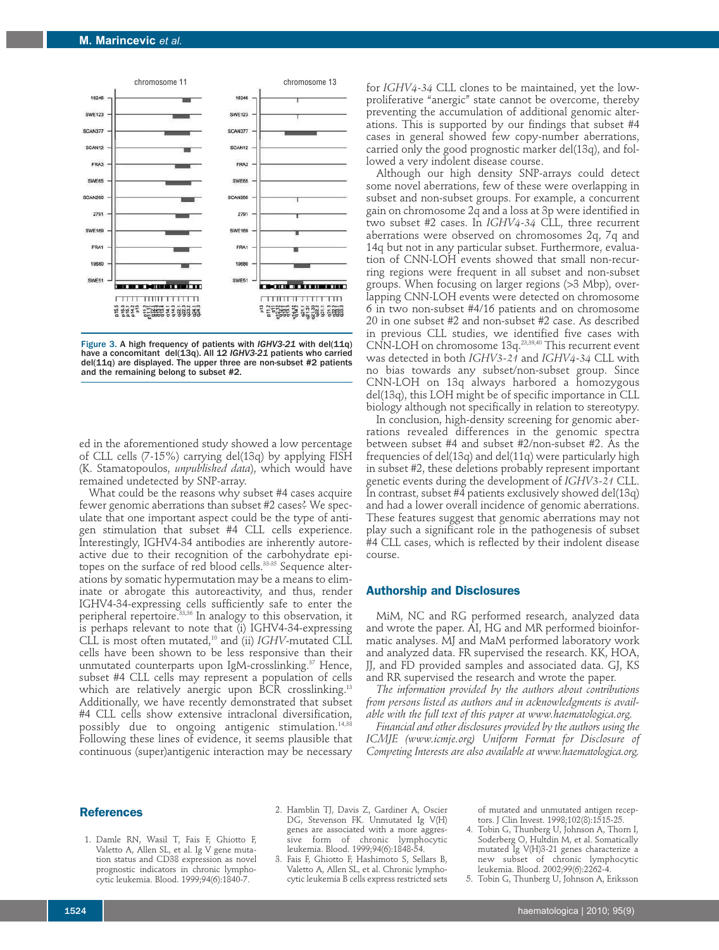

Figure 3. A high frequency of patients with *IGHV3-21* with del(11q) have a concomitant del(13q). All 12 *IGHV3-21* patients who carried del(11q) are displayed. The upper three are non-subset #2 patients and the remaining belong to subset #2.

ed in the aforementioned study showed a low percentage of CLL cells (7-15%) carrying del(13q) by applying FISH (K. Stamatopoulos, *unpublished data*), which would have remained undetected by SNP-array.

What could be the reasons why subset #4 cases acquire fewer genomic aberrations than subset #2 cases? We speculate that one important aspect could be the type of antigen stimulation that subset #4 CLL cells experience. Interestingly, IGHV4-34 antibodies are inherently autoreactive due to their recognition of the carbohydrate epitopes on the surface of red blood cells.<sup>33-35</sup> Sequence alterations by somatic hypermutation may be a means to eliminate or abrogate this autoreactivity, and thus, render IGHV4-34-expressing cells sufficiently safe to enter the peripheral repertoire. 33,36 In analogy to this observation, it is perhaps relevant to note that (i) IGHV4-34-expressing CLL is most often mutated, <sup>10</sup> and (ii) *IGHV*-mutated CLL cells have been shown to be less responsive than their unmutated counterparts upon IgM-crosslinking. <sup>37</sup> Hence, subset #4 CLL cells may represent a population of cells which are relatively anergic upon BCR crosslinking. 13 Additionally, we have recently demonstrated that subset #4 CLL cells show extensive intraclonal diversification, possibly due to ongoing antigenic stimulation. 14,38 Following these lines of evidence, it seems plausible that continuous (super)antigenic interaction may be necessary

for *IGHV4-34* CLL clones to be maintained, yet the lowproliferative "anergic" state cannot be overcome, thereby preventing the accumulation of additional genomic alterations. This is supported by our findings that subset #4 cases in general showed few copy-number aberrations, carried only the good prognostic marker del(13q), and followed a very indolent disease course.

Although our high density SNP-arrays could detect some novel aberrations, few of these were overlapping in subset and non-subset groups. For example, a concurrent gain on chromosome 2q and a loss at 3p were identified in two subset #2 cases. In *IGHV4-34* CLL, three recurrent aberrations were observed on chromosomes 2q, 7q and 14q but not in any particular subset. Furthermore, evaluation of CNN-LOH events showed that small non-recurring regions were frequent in all subset and non-subset groups. When focusing on larger regions (>3 Mbp), overlapping CNN-LOH events were detected on chromosome 6 in two non-subset #4/16 patients and on chromosome 20 in one subset #2 and non-subset #2 case. As described in previous CLL studies, we identified five cases with CNN-LOH on chromosome 13q. 23,39,40 This recurrent event was detected in both *IGHV3-21* and *IGHV4-34* CLL with no bias towards any subset/non-subset group. Since CNN-LOH on 13q always harbored a homozygous del(13q), this LOH might be of specific importance in CLL biology although not specifically in relation to stereotypy.

In conclusion, high-density screening for genomic aberrations revealed differences in the genomic spectra between subset #4 and subset #2/non-subset #2. As the frequencies of del(13q) and del(11q) were particularly high in subset #2, these deletions probably represent important genetic events during the development of *IGHV3-21* CLL. In contrast, subset #4 patients exclusively showed del(13q) and had a lower overall incidence of genomic aberrations. These features suggest that genomic aberrations may not play such a significant role in the pathogenesis of subset #4 CLL cases, which is reflected by their indolent disease course.

#### **Authorship and Disclosures**

MiM, NC and RG performed research, analyzed data and wrote the paper. AI, HG and MR performed bioinformatic analyses. MJ and MaM performed laboratory work and analyzed data. FR supervised the research. KK, HOA, JJ, and FD provided samples and associated data. GJ, KS and RR supervised the research and wrote the paper.

*The information provided by the authors about contributions from persons listed as authors and in acknowledgments is available with the full text of this paper at www.haematologica.org.*

*Financial and other disclosures provided by the authors using the ICMJE (www.icmje.org) Uniform Format for Disclosure of Competing Interests are also available at www.haematologica.org.*

# **References**

- 1. Damle RN, Wasil T, Fais F, Ghiotto F, Valetto A, Allen SL, et al. Ig V gene mutation status and CD38 expression as novel prognostic indicators in chronic lymphocytic leukemia. Blood. 1999;94(6):1840-7.
- 2. Hamblin TJ, Davis Z, Gardiner A, Oscier DG, Stevenson FK. Unmutated Ig V(H) genes are associated with a more aggressive form of chronic lymphocytic leukemia. Blood. 1999;94(6):1848-54.
- 3. Fais F, Ghiotto F, Hashimoto S, Sellars B, Valetto A, Allen SL, et al. Chronic lymphocytic leukemia B cells express restricted sets

of mutated and unmutated antigen receptors. J Clin Invest. 1998;102(8):1515-25.

4. Tobin G, Thunberg U, Johnson A, Thorn I, Soderberg O, Hultdin M, et al. Somatically mutated Ig V(H)3-21 genes characterize a new subset of chronic lymphocytic leukemia. Blood. 2002;99(6):2262-4.

5. Tobin G, Thunberg U, Johnson A, Eriksson